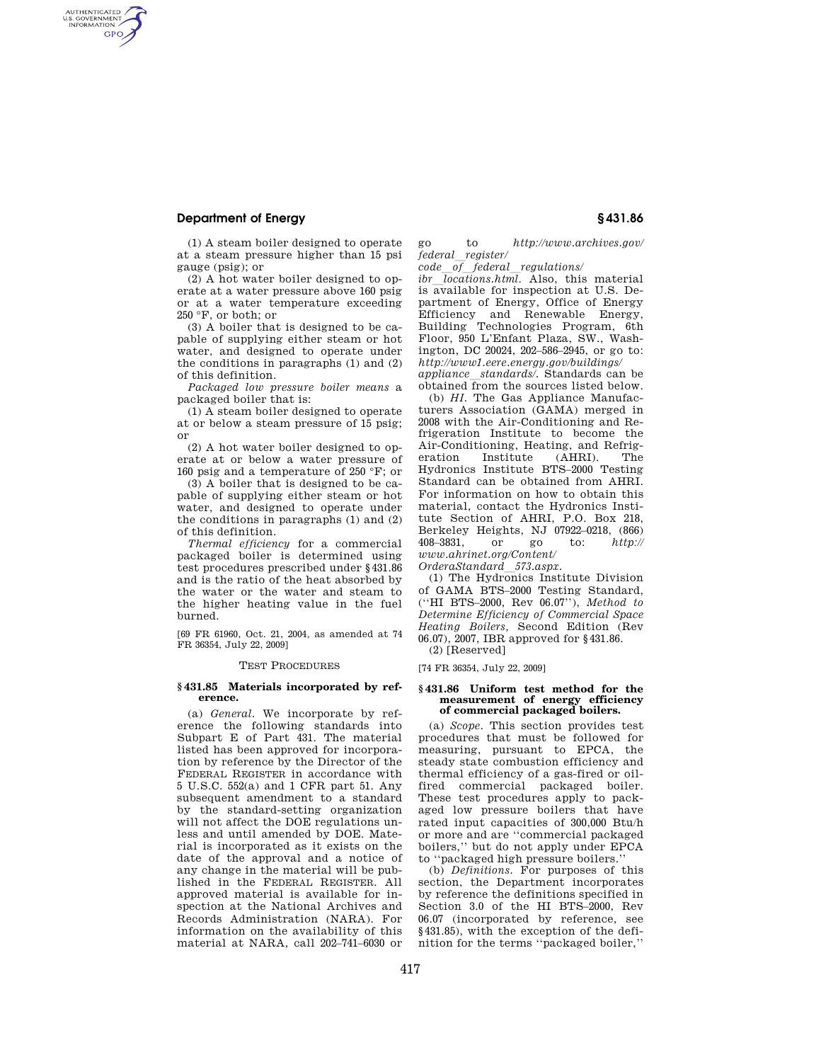## **Department of Energy § 431.86**

AUTHENTICATED<br>U.S. GOVERNMENT<br>INFORMATION **GPO** 

> (1) A steam boiler designed to operate at a steam pressure higher than 15 psi gauge (psig); or

> (2) A hot water boiler designed to operate at a water pressure above 160 psig or at a water temperature exceeding  $250 °F$ , or both; or

> (3) A boiler that is designed to be capable of supplying either steam or hot water, and designed to operate under the conditions in paragraphs (1) and (2) of this definition.

> *Packaged low pressure boiler means* a packaged boiler that is:

> (1) A steam boiler designed to operate at or below a steam pressure of 15 psig; or

> (2) A hot water boiler designed to operate at or below a water pressure of 160 psig and a temperature of 250 °F; or

> (3) A boiler that is designed to be capable of supplying either steam or hot water, and designed to operate under the conditions in paragraphs (1) and (2) of this definition.

> *Thermal efficiency* for a commercial packaged boiler is determined using test procedures prescribed under §431.86 and is the ratio of the heat absorbed by the water or the water and steam to the higher heating value in the fuel burned.

[69 FR 61960, Oct. 21, 2004, as amended at 74 FR 36354, July 22, 2009]

### TEST PROCEDURES

#### **§ 431.85 Materials incorporated by reference.**

(a) *General.* We incorporate by reference the following standards into Subpart E of Part 431. The material listed has been approved for incorporation by reference by the Director of the FEDERAL REGISTER in accordance with 5 U.S.C. 552(a) and 1 CFR part 51. Any subsequent amendment to a standard by the standard-setting organization will not affect the DOE regulations unless and until amended by DOE. Material is incorporated as it exists on the date of the approval and a notice of any change in the material will be published in the FEDERAL REGISTER. All approved material is available for inspection at the National Archives and Records Administration (NARA). For information on the availability of this material at NARA, call 202–741–6030 or

go to *http://www.archives.gov/ federal*l*register/* 

*code*l*of*l*federal*l*regulations/* 

*ibr locations.html*. Also, this material is available for inspection at U.S. Department of Energy, Office of Energy Efficiency and Renewable Energy, Building Technologies Program, 6th Floor, 950 L'Enfant Plaza, SW., Washington, DC 20024, 202–586–2945, or go to: *http://www1.eere.energy.gov/buildings/* 

*appliance*l*standards/.* Standards can be obtained from the sources listed below.

(b) *HI.* The Gas Appliance Manufacturers Association (GAMA) merged in 2008 with the Air-Conditioning and Refrigeration Institute to become the Air-Conditioning, Heating, and Refrigeration Institute (AHRI). The Hydronics Institute BTS–2000 Testing Standard can be obtained from AHRI. For information on how to obtain this material, contact the Hydronics Institute Section of AHRI, P.O. Box 218, Berkeley Heights, NJ 07922–0218, (866) 408–3831, or go to: *http:// www.ahrinet.org/Content/* 

*OrderaStandard*l*573.aspx.* 

(1) The Hydronics Institute Division of GAMA BTS–2000 Testing Standard, (''HI BTS–2000, Rev 06.07''), *Method to Determine Efficiency of Commercial Space Heating Boilers,* Second Edition (Rev 06.07), 2007, IBR approved for §431.86. (2) [Reserved]

[74 FR 36354, July 22, 2009]

#### **§ 431.86 Uniform test method for the measurement of energy efficiency of commercial packaged boilers.**

(a) *Scope.* This section provides test procedures that must be followed for measuring, pursuant to EPCA, the steady state combustion efficiency and thermal efficiency of a gas-fired or oilfired commercial packaged boiler. These test procedures apply to packaged low pressure boilers that have rated input capacities of 300,000 Btu/h or more and are ''commercial packaged boilers,'' but do not apply under EPCA to ''packaged high pressure boilers.''

(b) *Definitions.* For purposes of this section, the Department incorporates by reference the definitions specified in Section 3.0 of the HI BTS–2000, Rev 06.07 (incorporated by reference, see §431.85), with the exception of the definition for the terms ''packaged boiler,''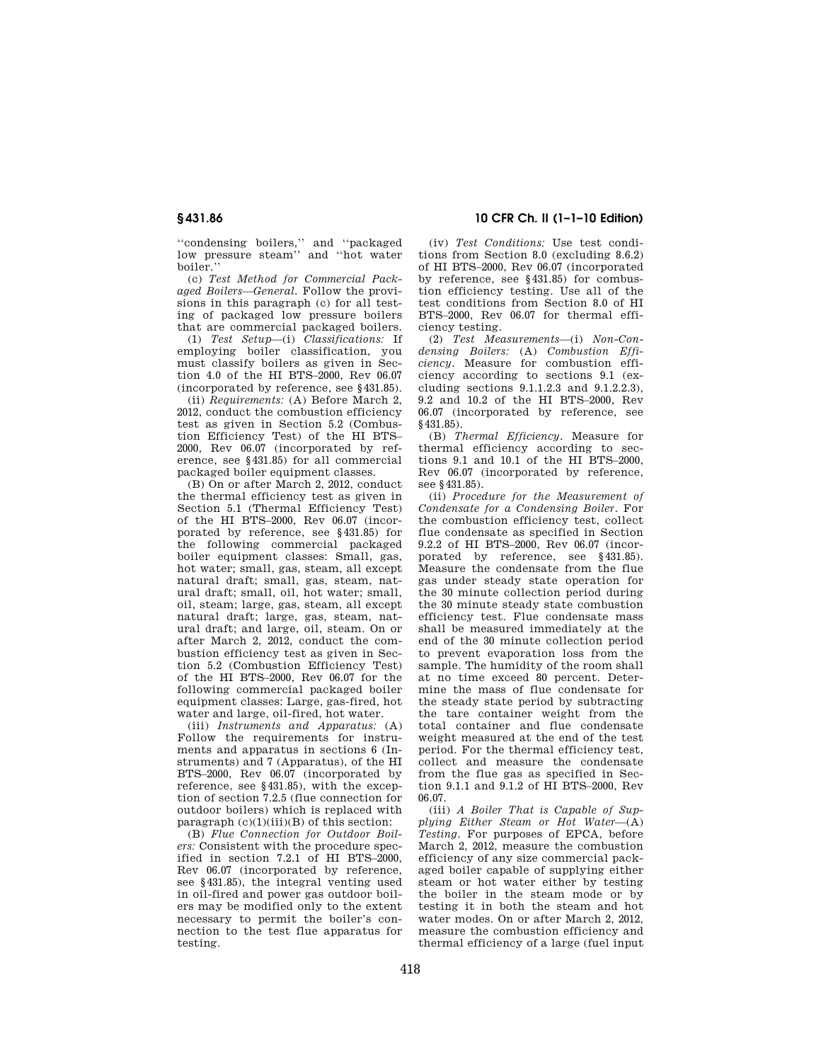''condensing boilers,'' and ''packaged low pressure steam'' and ''hot water boiler.''

(c) *Test Method for Commercial Packaged Boilers—General.* Follow the provisions in this paragraph (c) for all testing of packaged low pressure boilers that are commercial packaged boilers.

(1) *Test Setup*—(i) *Classifications:* If employing boiler classification, you must classify boilers as given in Section 4.0 of the HI BTS–2000, Rev 06.07 (incorporated by reference, see §431.85).

(ii) *Requirements:* (A) Before March 2, 2012, conduct the combustion efficiency test as given in Section 5.2 (Combustion Efficiency Test) of the HI BTS– 2000, Rev 06.07 (incorporated by reference, see §431.85) for all commercial packaged boiler equipment classes.

(B) On or after March 2, 2012, conduct the thermal efficiency test as given in Section 5.1 (Thermal Efficiency Test) of the HI BTS–2000, Rev 06.07 (incorporated by reference, see §431.85) for the following commercial packaged boiler equipment classes: Small, gas, hot water; small, gas, steam, all except natural draft; small, gas, steam, natural draft; small, oil, hot water; small, oil, steam; large, gas, steam, all except natural draft; large, gas, steam, natural draft; and large, oil, steam. On or after March 2, 2012, conduct the combustion efficiency test as given in Section 5.2 (Combustion Efficiency Test) of the HI BTS–2000, Rev 06.07 for the following commercial packaged boiler equipment classes: Large, gas-fired, hot water and large, oil-fired, hot water.

(iii) *Instruments and Apparatus:* (A) Follow the requirements for instruments and apparatus in sections 6 (Instruments) and 7 (Apparatus), of the HI BTS–2000, Rev 06.07 (incorporated by reference, see §431.85), with the exception of section 7.2.5 (flue connection for outdoor boilers) which is replaced with paragraph  $(c)(1)(iii)(B)$  of this section:

(B) *Flue Connection for Outdoor Boilers:* Consistent with the procedure specified in section 7.2.1 of HI BTS–2000, Rev 06.07 (incorporated by reference, see §431.85), the integral venting used in oil-fired and power gas outdoor boilers may be modified only to the extent necessary to permit the boiler's connection to the test flue apparatus for testing.

# **§ 431.86 10 CFR Ch. II (1–1–10 Edition)**

(iv) *Test Conditions:* Use test conditions from Section 8.0 (excluding 8.6.2) of HI BTS–2000, Rev 06.07 (incorporated by reference, see §431.85) for combustion efficiency testing. Use all of the test conditions from Section 8.0 of HI BTS–2000, Rev 06.07 for thermal efficiency testing.

(2) *Test Measurements*—(i) *Non-Condensing Boilers:* (A) *Combustion Efficiency.* Measure for combustion efficiency according to sections 9.1 (excluding sections 9.1.1.2.3 and 9.1.2.2.3), 9.2 and 10.2 of the HI BTS–2000, Rev 06.07 (incorporated by reference, see §431.85).

(B) *Thermal Efficiency.* Measure for thermal efficiency according to sections 9.1 and 10.1 of the HI BTS–2000, Rev 06.07 (incorporated by reference, see §431.85).

(ii) *Procedure for the Measurement of Condensate for a Condensing Boiler.* For the combustion efficiency test, collect flue condensate as specified in Section 9.2.2 of HI BTS–2000, Rev 06.07 (incorporated by reference, see §431.85). Measure the condensate from the flue gas under steady state operation for the 30 minute collection period during the 30 minute steady state combustion efficiency test. Flue condensate mass shall be measured immediately at the end of the 30 minute collection period to prevent evaporation loss from the sample. The humidity of the room shall at no time exceed 80 percent. Determine the mass of flue condensate for the steady state period by subtracting the tare container weight from the total container and flue condensate weight measured at the end of the test period. For the thermal efficiency test, collect and measure the condensate from the flue gas as specified in Section 9.1.1 and 9.1.2 of HI BTS–2000, Rev 06.07.

(iii) *A Boiler That is Capable of Supplying Either Steam or Hot Water*—(A) *Testing.* For purposes of EPCA, before March 2, 2012, measure the combustion efficiency of any size commercial packaged boiler capable of supplying either steam or hot water either by testing the boiler in the steam mode or by testing it in both the steam and hot water modes. On or after March 2, 2012, measure the combustion efficiency and thermal efficiency of a large (fuel input